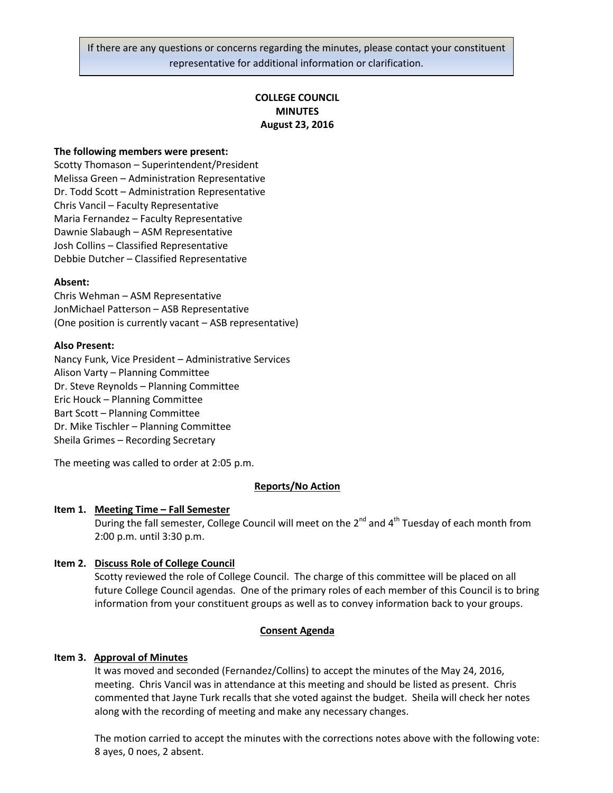If there are any questions or concerns regarding the minutes, please contact your constituent representative for additional information or clarification.

# **COLLEGE COUNCIL MINUTES August 23, 2016**

### **The following members were present:**

Scotty Thomason – Superintendent/President Melissa Green – Administration Representative Dr. Todd Scott – Administration Representative Chris Vancil – Faculty Representative Maria Fernandez – Faculty Representative Dawnie Slabaugh – ASM Representative Josh Collins – Classified Representative Debbie Dutcher – Classified Representative

### **Absent:**

Chris Wehman – ASM Representative JonMichael Patterson – ASB Representative (One position is currently vacant – ASB representative)

#### **Also Present:**

Nancy Funk, Vice President – Administrative Services Alison Varty – Planning Committee Dr. Steve Reynolds – Planning Committee Eric Houck – Planning Committee Bart Scott – Planning Committee Dr. Mike Tischler – Planning Committee Sheila Grimes – Recording Secretary

The meeting was called to order at 2:05 p.m.

#### **Reports/No Action**

#### **Item 1. Meeting Time – Fall Semester**

During the fall semester, College Council will meet on the  $2^{nd}$  and  $4^{th}$  Tuesday of each month from 2:00 p.m. until 3:30 p.m.

### **Item 2. Discuss Role of College Council**

Scotty reviewed the role of College Council. The charge of this committee will be placed on all future College Council agendas. One of the primary roles of each member of this Council is to bring information from your constituent groups as well as to convey information back to your groups.

#### **Consent Agenda**

#### **Item 3. Approval of Minutes**

It was moved and seconded (Fernandez/Collins) to accept the minutes of the May 24, 2016, meeting. Chris Vancil was in attendance at this meeting and should be listed as present. Chris commented that Jayne Turk recalls that she voted against the budget. Sheila will check her notes along with the recording of meeting and make any necessary changes.

The motion carried to accept the minutes with the corrections notes above with the following vote: 8 ayes, 0 noes, 2 absent.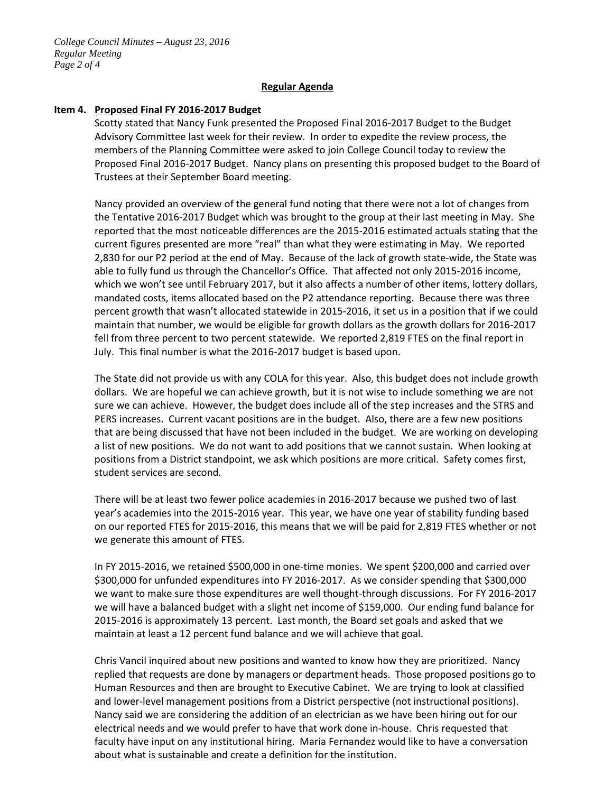## **Regular Agenda**

## **Item 4. Proposed Final FY 2016-2017 Budget**

Scotty stated that Nancy Funk presented the Proposed Final 2016-2017 Budget to the Budget Advisory Committee last week for their review. In order to expedite the review process, the members of the Planning Committee were asked to join College Council today to review the Proposed Final 2016-2017 Budget. Nancy plans on presenting this proposed budget to the Board of Trustees at their September Board meeting.

Nancy provided an overview of the general fund noting that there were not a lot of changes from the Tentative 2016-2017 Budget which was brought to the group at their last meeting in May. She reported that the most noticeable differences are the 2015-2016 estimated actuals stating that the current figures presented are more "real" than what they were estimating in May. We reported 2,830 for our P2 period at the end of May. Because of the lack of growth state-wide, the State was able to fully fund us through the Chancellor's Office. That affected not only 2015-2016 income, which we won't see until February 2017, but it also affects a number of other items, lottery dollars, mandated costs, items allocated based on the P2 attendance reporting. Because there was three percent growth that wasn't allocated statewide in 2015-2016, it set us in a position that if we could maintain that number, we would be eligible for growth dollars as the growth dollars for 2016-2017 fell from three percent to two percent statewide. We reported 2,819 FTES on the final report in July. This final number is what the 2016-2017 budget is based upon.

The State did not provide us with any COLA for this year. Also, this budget does not include growth dollars. We are hopeful we can achieve growth, but it is not wise to include something we are not sure we can achieve. However, the budget does include all of the step increases and the STRS and PERS increases. Current vacant positions are in the budget. Also, there are a few new positions that are being discussed that have not been included in the budget. We are working on developing a list of new positions. We do not want to add positions that we cannot sustain. When looking at positions from a District standpoint, we ask which positions are more critical. Safety comes first, student services are second.

There will be at least two fewer police academies in 2016-2017 because we pushed two of last year's academies into the 2015-2016 year. This year, we have one year of stability funding based on our reported FTES for 2015-2016, this means that we will be paid for 2,819 FTES whether or not we generate this amount of FTES.

In FY 2015-2016, we retained \$500,000 in one-time monies. We spent \$200,000 and carried over \$300,000 for unfunded expenditures into FY 2016-2017. As we consider spending that \$300,000 we want to make sure those expenditures are well thought-through discussions. For FY 2016-2017 we will have a balanced budget with a slight net income of \$159,000. Our ending fund balance for 2015-2016 is approximately 13 percent. Last month, the Board set goals and asked that we maintain at least a 12 percent fund balance and we will achieve that goal.

Chris Vancil inquired about new positions and wanted to know how they are prioritized. Nancy replied that requests are done by managers or department heads. Those proposed positions go to Human Resources and then are brought to Executive Cabinet. We are trying to look at classified and lower-level management positions from a District perspective (not instructional positions). Nancy said we are considering the addition of an electrician as we have been hiring out for our electrical needs and we would prefer to have that work done in-house. Chris requested that faculty have input on any institutional hiring. Maria Fernandez would like to have a conversation about what is sustainable and create a definition for the institution.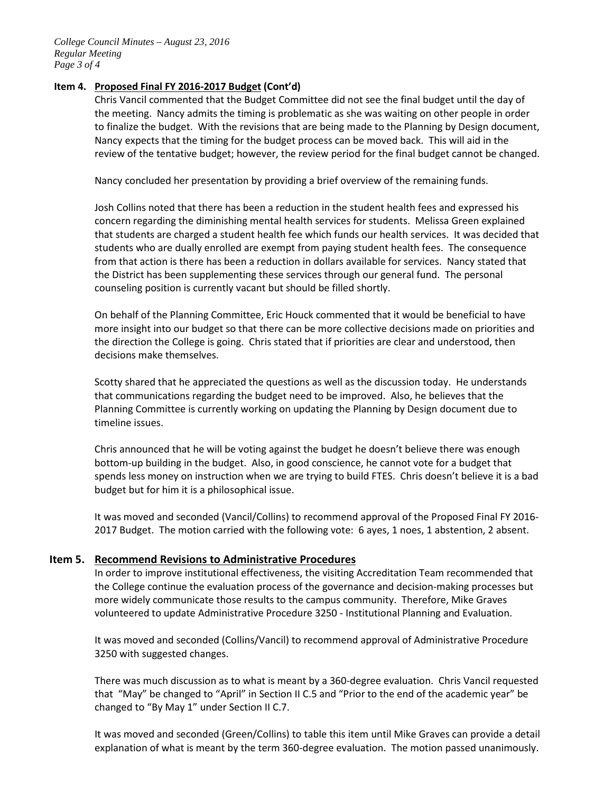*College Council Minutes – August 23, 2016 Regular Meeting Page 3 of 4*

# **Item 4. Proposed Final FY 2016-2017 Budget (Cont'd)**

Chris Vancil commented that the Budget Committee did not see the final budget until the day of the meeting. Nancy admits the timing is problematic as she was waiting on other people in order to finalize the budget. With the revisions that are being made to the Planning by Design document, Nancy expects that the timing for the budget process can be moved back. This will aid in the review of the tentative budget; however, the review period for the final budget cannot be changed.

Nancy concluded her presentation by providing a brief overview of the remaining funds.

Josh Collins noted that there has been a reduction in the student health fees and expressed his concern regarding the diminishing mental health services for students. Melissa Green explained that students are charged a student health fee which funds our health services. It was decided that students who are dually enrolled are exempt from paying student health fees. The consequence from that action is there has been a reduction in dollars available for services. Nancy stated that the District has been supplementing these services through our general fund. The personal counseling position is currently vacant but should be filled shortly.

On behalf of the Planning Committee, Eric Houck commented that it would be beneficial to have more insight into our budget so that there can be more collective decisions made on priorities and the direction the College is going. Chris stated that if priorities are clear and understood, then decisions make themselves.

Scotty shared that he appreciated the questions as well as the discussion today. He understands that communications regarding the budget need to be improved. Also, he believes that the Planning Committee is currently working on updating the Planning by Design document due to timeline issues.

Chris announced that he will be voting against the budget he doesn't believe there was enough bottom-up building in the budget. Also, in good conscience, he cannot vote for a budget that spends less money on instruction when we are trying to build FTES. Chris doesn't believe it is a bad budget but for him it is a philosophical issue.

It was moved and seconded (Vancil/Collins) to recommend approval of the Proposed Final FY 2016- 2017 Budget. The motion carried with the following vote: 6 ayes, 1 noes, 1 abstention, 2 absent.

# **Item 5. Recommend Revisions to Administrative Procedures**

In order to improve institutional effectiveness, the visiting Accreditation Team recommended that the College continue the evaluation process of the governance and decision-making processes but more widely communicate those results to the campus community. Therefore, Mike Graves volunteered to update Administrative Procedure 3250 - Institutional Planning and Evaluation.

It was moved and seconded (Collins/Vancil) to recommend approval of Administrative Procedure 3250 with suggested changes.

There was much discussion as to what is meant by a 360-degree evaluation. Chris Vancil requested that "May" be changed to "April" in Section II C.5 and "Prior to the end of the academic year" be changed to "By May 1" under Section II C.7.

It was moved and seconded (Green/Collins) to table this item until Mike Graves can provide a detail explanation of what is meant by the term 360-degree evaluation. The motion passed unanimously.